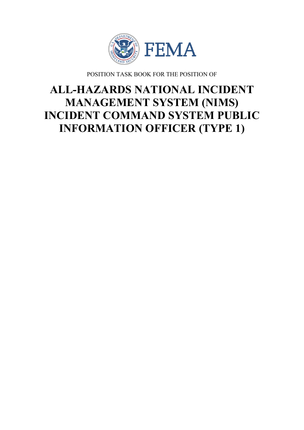

POSITION TASK BOOK FOR THE POSITION OF

# **ALL-HAZARDS NATIONAL INCIDENT MANAGEMENT SYSTEM (NIMS) INCIDENT COMMAND SYSTEM PUBLIC INFORMATION OFFICER (TYPE 1)**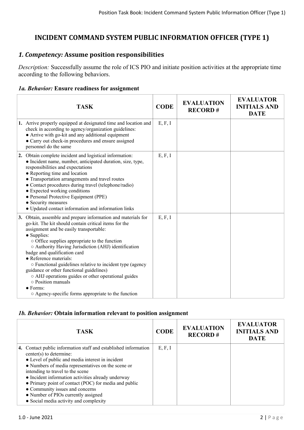# **INCIDENT COMMAND SYSTEM PUBLIC INFORMATION OFFICER (TYPE 1)**

# *1. Competency:* **Assume position responsibilities**

*Description:* Successfully assume the role of ICS PIO and initiate position activities at the appropriate time according to the following behaviors.

#### *1a. Behavior:* **Ensure readiness for assignment**

| <b>TASK</b>                                                                                                                                                                                                                                                                                                                                                                                                                                                                                                                                                                                                                | <b>CODE</b> | <b>EVALUATION</b><br><b>RECORD#</b> | <b>EVALUATOR</b><br><b>INITIALS AND</b><br><b>DATE</b> |
|----------------------------------------------------------------------------------------------------------------------------------------------------------------------------------------------------------------------------------------------------------------------------------------------------------------------------------------------------------------------------------------------------------------------------------------------------------------------------------------------------------------------------------------------------------------------------------------------------------------------------|-------------|-------------------------------------|--------------------------------------------------------|
| 1. Arrive properly equipped at designated time and location and<br>check in according to agency/organization guidelines:<br>• Arrive with go-kit and any additional equipment<br>• Carry out check-in procedures and ensure assigned<br>personnel do the same                                                                                                                                                                                                                                                                                                                                                              | E, F, I     |                                     |                                                        |
| 2. Obtain complete incident and logistical information:<br>• Incident name, number, anticipated duration, size, type,<br>responsibilities and expectations<br>• Reporting time and location<br>• Transportation arrangements and travel routes<br>• Contact procedures during travel (telephone/radio)<br>• Expected working conditions<br>• Personal Protective Equipment (PPE)<br>• Security measures<br>$\bullet$ Updated contact information and information links                                                                                                                                                     | E, F, I     |                                     |                                                        |
| 3. Obtain, assemble and prepare information and materials for<br>go-kit. The kit should contain critical items for the<br>assignment and be easily transportable:<br>• Supplies:<br>$\circ$ Office supplies appropriate to the function<br>○ Authority Having Jurisdiction (AHJ) identification<br>badge and qualification card<br>• Reference materials:<br>○ Functional guidelines relative to incident type (agency<br>guidance or other functional guidelines)<br>o AHJ operations guides or other operational guides<br>o Position manuals<br>$\bullet$ Forms:<br>○ Agency-specific forms appropriate to the function | E, F, I     |                                     |                                                        |

#### *1b. Behavior:* **Obtain information relevant to position assignment**

| <b>TASK</b>                                                                                                                                                                                                                                                                                                                                                                                                                                                                 | <b>CODE</b> | <b>EVALUATION</b><br><b>RECORD#</b> | <b>EVALUATOR</b><br><b>INITIALS AND</b><br><b>DATE</b> |
|-----------------------------------------------------------------------------------------------------------------------------------------------------------------------------------------------------------------------------------------------------------------------------------------------------------------------------------------------------------------------------------------------------------------------------------------------------------------------------|-------------|-------------------------------------|--------------------------------------------------------|
|                                                                                                                                                                                                                                                                                                                                                                                                                                                                             |             |                                     |                                                        |
| 4. Contact public information staff and established information<br>center(s) to determine:<br>• Level of public and media interest in incident<br>• Numbers of media representatives on the scene or<br>intending to travel to the scene<br>• Incident information activities already underway<br>• Primary point of contact (POC) for media and public<br>• Community issues and concerns<br>• Number of PIOs currently assigned<br>• Social media activity and complexity | E, F, I     |                                     |                                                        |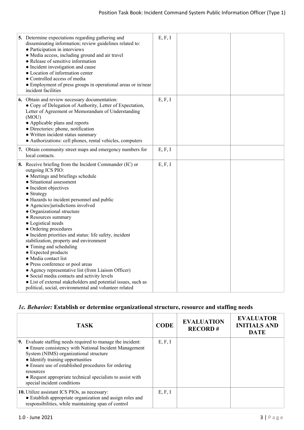| 5. Determine expectations regarding gathering and<br>disseminating information; review guidelines related to:<br>• Participation in interviews<br>• Media access, including ground and air travel<br>• Release of sensitive information<br>• Incident investigation and cause<br>• Location of information center<br>• Controlled access of media<br>• Employment of press groups in operational areas or in/near<br>incident facilities                                                                                                                                                                                                                                                                                                                                                                                         | E, F, I |  |
|----------------------------------------------------------------------------------------------------------------------------------------------------------------------------------------------------------------------------------------------------------------------------------------------------------------------------------------------------------------------------------------------------------------------------------------------------------------------------------------------------------------------------------------------------------------------------------------------------------------------------------------------------------------------------------------------------------------------------------------------------------------------------------------------------------------------------------|---------|--|
| 6. Obtain and review necessary documentation:<br>• Copy of Delegation of Authority, Letter of Expectation,<br>Letter of Agreement or Memorandum of Understanding<br>(MOU)<br>• Applicable plans and reports<br>· Directories: phone, notification<br>• Written incident status summary<br>• Authorizations: cell phones, rental vehicles, computers                                                                                                                                                                                                                                                                                                                                                                                                                                                                              | E, F, I |  |
| 7. Obtain community street maps and emergency numbers for<br>local contacts.                                                                                                                                                                                                                                                                                                                                                                                                                                                                                                                                                                                                                                                                                                                                                     | E, F, I |  |
| 8. Receive briefing from the Incident Commander (IC) or<br>outgoing ICS PIO:<br>· Meetings and briefings schedule<br>• Situational assessment<br>• Incident objectives<br>• Strategy<br>• Hazards to incident personnel and public<br>• Agencies/jurisdictions involved<br>• Organizational structure<br>• Resources summary<br>• Logistical needs<br>• Ordering procedures<br>• Incident priorities and status: life safety, incident<br>stabilization, property and environment<br>• Timing and scheduling<br>• Expected products<br>• Media contact list<br>• Press conference or pool areas<br>• Agency representative list (from Liaison Officer)<br>• Social media contacts and activity levels<br>• List of external stakeholders and potential issues, such as<br>political, social, environmental and volunteer related | E, F, I |  |

# *1c. Behavior:* **Establish or determine organizational structure, resource and staffing needs**

| <b>TASK</b>                                                                                                                                                                                                                                                                                                                                                           | <b>CODE</b> | <b>EVALUATION</b><br><b>RECORD#</b> | <b>EVALUATOR</b><br><b>INITIALS AND</b><br><b>DATE</b> |
|-----------------------------------------------------------------------------------------------------------------------------------------------------------------------------------------------------------------------------------------------------------------------------------------------------------------------------------------------------------------------|-------------|-------------------------------------|--------------------------------------------------------|
| 9. Evaluate staffing needs required to manage the incident:<br>• Ensure consistency with National Incident Management<br>System (NIMS) organizational structure<br>• Identify training opportunities<br>• Ensure use of established procedures for ordering<br>resources<br>• Request appropriate technical specialists to assist with<br>special incident conditions | E, F, I     |                                     |                                                        |
| 10. Utilize assistant ICS PIOs, as necessary:<br>• Establish appropriate organization and assign roles and<br>responsibilities, while maintaining span of control                                                                                                                                                                                                     | E, F, I     |                                     |                                                        |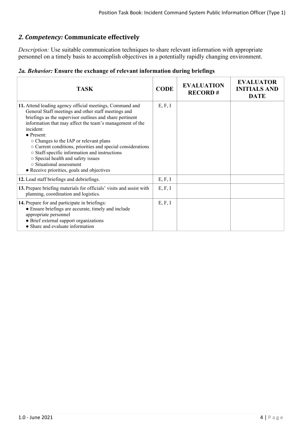# *2. Competency:* **Communicate effectively**

*Description:* Use suitable communication techniques to share relevant information with appropriate personnel on a timely basis to accomplish objectives in a potentially rapidly changing environment.

|  |  |  | 2a. Behavior: Ensure the exchange of relevant information during briefings |  |  |  |  |
|--|--|--|----------------------------------------------------------------------------|--|--|--|--|
|--|--|--|----------------------------------------------------------------------------|--|--|--|--|

| <b>TASK</b>                                                                                                                                                                                                                                                                                                                                                                                                                                                                                                                                          | <b>CODE</b> | <b>EVALUATION</b><br><b>RECORD#</b> | <b>EVALUATOR</b><br><b>INITIALS AND</b><br><b>DATE</b> |
|------------------------------------------------------------------------------------------------------------------------------------------------------------------------------------------------------------------------------------------------------------------------------------------------------------------------------------------------------------------------------------------------------------------------------------------------------------------------------------------------------------------------------------------------------|-------------|-------------------------------------|--------------------------------------------------------|
| 11. Attend leading agency official meetings, Command and<br>General Staff meetings and other staff meetings and<br>briefings as the supervisor outlines and share pertinent<br>information that may affect the team's management of the<br>incident:<br>$\bullet$ Present:<br>○ Changes to the IAP or relevant plans<br>○ Current conditions, priorities and special considerations<br>o Staff-specific information and instructions<br>o Special health and safety issues<br>○ Situational assessment<br>• Receive priorities, goals and objectives | E, F, I     |                                     |                                                        |
| 12. Lead staff briefings and debriefings.                                                                                                                                                                                                                                                                                                                                                                                                                                                                                                            | E, F, I     |                                     |                                                        |
| 13. Prepare briefing materials for officials' visits and assist with<br>planning, coordination and logistics.                                                                                                                                                                                                                                                                                                                                                                                                                                        | E, F, I     |                                     |                                                        |
| 14. Prepare for and participate in briefings:<br>• Ensure briefings are accurate, timely and include<br>appropriate personnel<br>• Brief external support organizations<br>• Share and evaluate information                                                                                                                                                                                                                                                                                                                                          | E, F, I     |                                     |                                                        |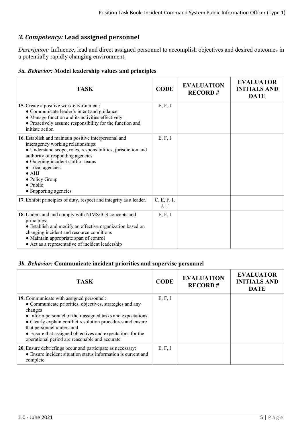# *3. Competency:* **Lead assigned personnel**

*Description:* Influence, lead and direct assigned personnel to accomplish objectives and desired outcomes in a potentially rapidly changing environment.

#### *3a. Behavior:* **Model leadership values and principles**

| <b>TASK</b>                                                                                                                                                                                                                                                                                                                                | <b>CODE</b>         | <b>EVALUATION</b><br><b>RECORD#</b> | <b>EVALUATOR</b><br><b>INITIALS AND</b><br><b>DATE</b> |
|--------------------------------------------------------------------------------------------------------------------------------------------------------------------------------------------------------------------------------------------------------------------------------------------------------------------------------------------|---------------------|-------------------------------------|--------------------------------------------------------|
| 15. Create a positive work environment:<br>• Communicate leader's intent and guidance<br>• Manage function and its activities effectively<br>• Proactively assume responsibility for the function and<br>initiate action                                                                                                                   | E, F, I             |                                     |                                                        |
| 16. Establish and maintain positive interpersonal and<br>interagency working relationships:<br>· Understand scope, roles, responsibilities, jurisdiction and<br>authority of responding agencies<br>• Outgoing incident staff or teams<br>• Local agencies<br>$\bullet$ AHJ<br>• Policy Group<br>$\bullet$ Public<br>• Supporting agencies | E, F, I             |                                     |                                                        |
| 17. Exhibit principles of duty, respect and integrity as a leader.                                                                                                                                                                                                                                                                         | C, E, F, I,<br>J, T |                                     |                                                        |
| 18. Understand and comply with NIMS/ICS concepts and<br>principles:<br>• Establish and modify an effective organization based on<br>changing incident and resource conditions<br>• Maintain appropriate span of control<br>• Act as a representative of incident leadership                                                                | E, F, I             |                                     |                                                        |

## *3b. Behavior:* **Communicate incident priorities and supervise personnel**

| <b>TASK</b>                                                                                                                                                                                                                                                                                                                                                                                | <b>CODE</b> | <b>EVALUATION</b><br><b>RECORD#</b> | <b>EVALUATOR</b><br><b>INITIALS AND</b><br><b>DATE</b> |
|--------------------------------------------------------------------------------------------------------------------------------------------------------------------------------------------------------------------------------------------------------------------------------------------------------------------------------------------------------------------------------------------|-------------|-------------------------------------|--------------------------------------------------------|
| 19. Communicate with assigned personnel:<br>• Communicate priorities, objectives, strategies and any<br>changes<br>• Inform personnel of their assigned tasks and expectations<br>• Clearly explain conflict resolution procedures and ensure<br>that personnel understand<br>• Ensure that assigned objectives and expectations for the<br>operational period are reasonable and accurate | E, F, I     |                                     |                                                        |
| 20. Ensure debriefings occur and participate as necessary:<br>• Ensure incident situation status information is current and<br>complete                                                                                                                                                                                                                                                    | E, F, I     |                                     |                                                        |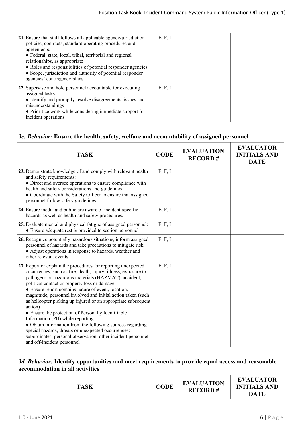| 21. Ensure that staff follows all applicable agency/jurisdiction<br>policies, contracts, standard operating procedures and<br>agreements:<br>• Federal, state, local, tribal, territorial and regional<br>relationships, as appropriate<br>• Roles and responsibilities of potential responder agencies<br>• Scope, jurisdiction and authority of potential responder<br>agencies' contingency plans | E, F, I |  |
|------------------------------------------------------------------------------------------------------------------------------------------------------------------------------------------------------------------------------------------------------------------------------------------------------------------------------------------------------------------------------------------------------|---------|--|
| 22. Supervise and hold personnel accountable for executing<br>assigned tasks:<br>• Identify and promptly resolve disagreements, issues and<br>misunderstandings<br>• Prioritize work while considering immediate support for<br>incident operations                                                                                                                                                  | E, F, I |  |

#### *3c. Behavior:* **Ensure the health, safety, welfare and accountability of assigned personnel**

| <b>TASK</b>                                                                                                                                                                                                                                                                                                                                                                                                                                                                                                                                                                                                                                                                                                                                              | <b>CODE</b> | <b>EVALUATION</b><br><b>RECORD#</b> | <b>EVALUATOR</b><br><b>INITIALS AND</b><br><b>DATE</b> |
|----------------------------------------------------------------------------------------------------------------------------------------------------------------------------------------------------------------------------------------------------------------------------------------------------------------------------------------------------------------------------------------------------------------------------------------------------------------------------------------------------------------------------------------------------------------------------------------------------------------------------------------------------------------------------------------------------------------------------------------------------------|-------------|-------------------------------------|--------------------------------------------------------|
| 23. Demonstrate knowledge of and comply with relevant health<br>and safety requirements:<br>• Direct and oversee operations to ensure compliance with<br>health and safety considerations and guidelines<br>• Coordinate with the Safety Officer to ensure that assigned<br>personnel follow safety guidelines                                                                                                                                                                                                                                                                                                                                                                                                                                           | E, F, I     |                                     |                                                        |
| 24. Ensure media and public are aware of incident-specific<br>hazards as well as health and safety procedures.                                                                                                                                                                                                                                                                                                                                                                                                                                                                                                                                                                                                                                           | E, F, I     |                                     |                                                        |
| 25. Evaluate mental and physical fatigue of assigned personnel:<br>• Ensure adequate rest is provided to section personnel                                                                                                                                                                                                                                                                                                                                                                                                                                                                                                                                                                                                                               | E, F, I     |                                     |                                                        |
| 26. Recognize potentially hazardous situations, inform assigned<br>personnel of hazards and take precautions to mitigate risk:<br>• Adjust operations in response to hazards, weather and<br>other relevant events                                                                                                                                                                                                                                                                                                                                                                                                                                                                                                                                       | E, F, I     |                                     |                                                        |
| 27. Report or explain the procedures for reporting unexpected<br>occurrences, such as fire, death, injury, illness, exposure to<br>pathogens or hazardous materials (HAZMAT), accident,<br>political contact or property loss or damage:<br>• Ensure report contains nature of event, location,<br>magnitude, personnel involved and initial action taken (such<br>as helicopter picking up injured or an appropriate subsequent<br>action)<br>• Ensure the protection of Personally Identifiable<br>Information (PII) while reporting<br>• Obtain information from the following sources regarding<br>special hazards, threats or unexpected occurrences:<br>subordinates, personal observation, other incident personnel<br>and off-incident personnel | E, F, I     |                                     |                                                        |

#### *3d. Behavior:* **Identify opportunities and meet requirements to provide equal access and reasonable accommodation in all activities**

| <b>DATE</b> |
|-------------|
|-------------|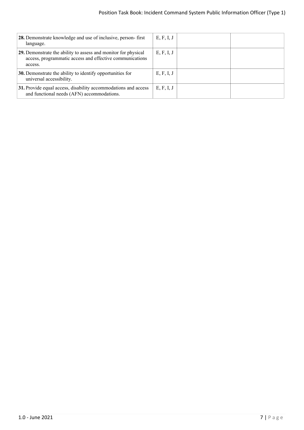| 28. Demonstrate knowledge and use of inclusive, person-first<br>language.                                                             | E, F, I, J |  |
|---------------------------------------------------------------------------------------------------------------------------------------|------------|--|
| 29. Demonstrate the ability to assess and monitor for physical<br>access, programmatic access and effective communications<br>access. | E, F, I, J |  |
| 30. Demonstrate the ability to identify opportunities for<br>universal accessibility.                                                 | E, F, I, J |  |
| 31. Provide equal access, disability accommodations and access<br>and functional needs (AFN) accommodations.                          | E, F, I, J |  |
|                                                                                                                                       |            |  |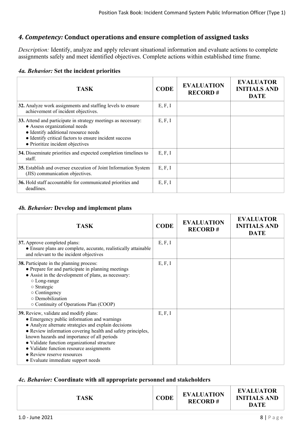# *4. Competency:* **Conduct operations and ensure completion of assigned tasks**

*Description:* Identify, analyze and apply relevant situational information and evaluate actions to complete assignments safely and meet identified objectives. Complete actions within established time frame.

#### *4a. Behavior:* **Set the incident priorities**

| <b>TASK</b>                                                                                                                                                                                                                          | <b>CODE</b> | <b>EVALUATION</b><br><b>RECORD#</b> | <b>EVALUATOR</b><br><b>INITIALS AND</b><br><b>DATE</b> |
|--------------------------------------------------------------------------------------------------------------------------------------------------------------------------------------------------------------------------------------|-------------|-------------------------------------|--------------------------------------------------------|
| 32. Analyze work assignments and staffing levels to ensure<br>achievement of incident objectives.                                                                                                                                    | E, F, I     |                                     |                                                        |
| 33. Attend and participate in strategy meetings as necessary:<br>• Assess organizational needs<br>• Identify additional resource needs<br>• Identify critical factors to ensure incident success<br>• Prioritize incident objectives | E, F, I     |                                     |                                                        |
| 34. Disseminate priorities and expected completion timelines to<br>staff.                                                                                                                                                            | E, F, I     |                                     |                                                        |
| 35. Establish and oversee execution of Joint Information System<br>(JIS) communication objectives.                                                                                                                                   | E, F, I     |                                     |                                                        |
| 36. Hold staff accountable for communicated priorities and<br>deadlines.                                                                                                                                                             | E, F, I     |                                     |                                                        |

#### *4b. Behavior:* **Develop and implement plans**

| <b>TASK</b>                                                                                                                                                                                                                                                                                                                                                                                                                 | <b>CODE</b> | <b>EVALUATION</b><br><b>RECORD#</b> | <b>EVALUATOR</b><br><b>INITIALS AND</b><br><b>DATE</b> |
|-----------------------------------------------------------------------------------------------------------------------------------------------------------------------------------------------------------------------------------------------------------------------------------------------------------------------------------------------------------------------------------------------------------------------------|-------------|-------------------------------------|--------------------------------------------------------|
| 37. Approve completed plans:<br>• Ensure plans are complete, accurate, realistically attainable<br>and relevant to the incident objectives                                                                                                                                                                                                                                                                                  | E, F, I     |                                     |                                                        |
| <b>38.</b> Participate in the planning process:<br>• Prepare for and participate in planning meetings<br>• Assist in the development of plans, as necessary:<br>○ Long-range<br>$\circ$ Strategic<br>$\circ$ Contingency<br>o Demobilization<br>$\circ$ Continuity of Operations Plan (COOP)                                                                                                                                | E, F, I     |                                     |                                                        |
| 39. Review, validate and modify plans:<br>• Emergency public information and warnings<br>• Analyze alternate strategies and explain decisions<br>• Review information covering health and safety principles,<br>known hazards and importance of all periods<br>• Validate function organizational structure<br>• Validate function resource assignments<br>• Review reserve resources<br>• Evaluate immediate support needs | E, F, I     |                                     |                                                        |

#### *4c. Behavior:* **Coordinate with all appropriate personnel and stakeholders**

| <b>TASK</b> | <b>CODE</b> | <b>EVALUATION</b><br><b>RECORD#</b> | <b>EVALUATOR</b><br><b>INITIALS AND</b><br><b>DATE</b> |
|-------------|-------------|-------------------------------------|--------------------------------------------------------|
|             |             |                                     |                                                        |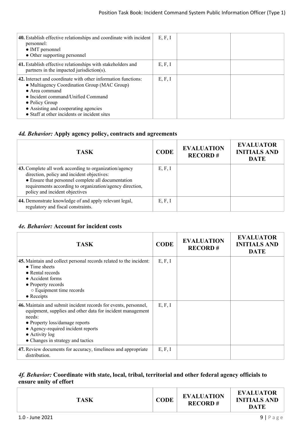| 40. Establish effective relationships and coordinate with incident<br>personnel:<br>• IMT personnel<br>• Other supporting personnel                                                                                                                                                                     | E, F, I |  |
|---------------------------------------------------------------------------------------------------------------------------------------------------------------------------------------------------------------------------------------------------------------------------------------------------------|---------|--|
| 41. Establish effective relationships with stakeholders and<br>partners in the impacted jurisdiction(s).                                                                                                                                                                                                | E, F, I |  |
| 42. Interact and coordinate with other information functions:<br>• Multiagency Coordination Group (MAC Group)<br>$\bullet$ Area command<br>$\bullet$ Incident command/Unified Command<br>$\bullet$ Policy Group<br>• Assisting and cooperating agencies<br>• Staff at other incidents or incident sites | E, F, I |  |

## *4d. Behavior:* **Apply agency policy, contracts and agreements**

| <b>TASK</b>                                                                                                                                                                                                                                              | <b>CODE</b> | <b>EVALUATION</b><br><b>RECORD#</b> | <b>EVALUATOR</b><br><b>INITIALS AND</b><br><b>DATE</b> |
|----------------------------------------------------------------------------------------------------------------------------------------------------------------------------------------------------------------------------------------------------------|-------------|-------------------------------------|--------------------------------------------------------|
| 43. Complete all work according to organization/agency<br>direction, policy and incident objectives:<br>• Ensure that personnel complete all documentation<br>requirements according to organization/agency direction,<br>policy and incident objectives | E, F, I     |                                     |                                                        |
| 44. Demonstrate knowledge of and apply relevant legal,<br>regulatory and fiscal constraints.                                                                                                                                                             | E, F, I     |                                     |                                                        |

#### *4e. Behavior:* **Account for incident costs**

| TASK.                                                                                                                                                                                                                                                                          | <b>CODE</b> | <b>EVALUATION</b><br><b>RECORD#</b> | <b>EVALUATOR</b><br><b>INITIALS AND</b><br><b>DATE</b> |
|--------------------------------------------------------------------------------------------------------------------------------------------------------------------------------------------------------------------------------------------------------------------------------|-------------|-------------------------------------|--------------------------------------------------------|
| 45. Maintain and collect personal records related to the incident:<br>$\bullet$ Time sheets<br>$\bullet$ Rental records<br>• Accident forms<br>• Property records<br>$\circ$ Equipment time records<br>$\bullet$ Receipts                                                      | E, F, I     |                                     |                                                        |
| 46. Maintain and submit incident records for events, personnel,<br>equipment, supplies and other data for incident management<br>needs:<br>• Property loss/damage reports<br>• Agency-required incident reports<br>$\bullet$ Activity log<br>• Changes in strategy and tactics | E, F, I     |                                     |                                                        |
| 47. Review documents for accuracy, timeliness and appropriate<br>distribution.                                                                                                                                                                                                 | E, F, I     |                                     |                                                        |

#### *4f. Behavior:* **Coordinate with state, local, tribal, territorial and other federal agency officials to ensure unity of effort**

| <b>TASK</b> | <b>CODE</b> | <b>EVALUATION</b><br><b>RECORD#</b> | <b>EVALUATOR</b><br><b>INITIALS AND</b><br><b>DATE</b> |
|-------------|-------------|-------------------------------------|--------------------------------------------------------|
|             |             |                                     |                                                        |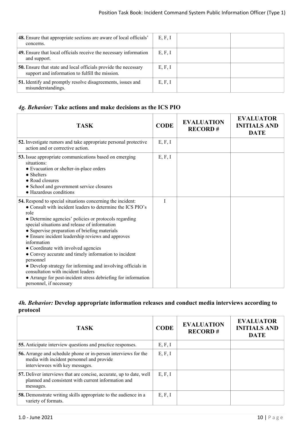| <b>48.</b> Ensure that appropriate sections are aware of local officials'<br>concerns.                                    | E, F, I |  |
|---------------------------------------------------------------------------------------------------------------------------|---------|--|
| 49. Ensure that local officials receive the necessary information<br>and support.                                         | E, F, I |  |
| <b>50.</b> Ensure that state and local officials provide the necessary<br>support and information to fulfill the mission. | E, F, I |  |
| 51. Identify and promptly resolve disagreements, issues and<br>misunderstandings.                                         | E, F, I |  |

# *4g. Behavior:* **Take actions and make decisions as the ICS PIO**

| <b>TASK</b>                                                                                                                                                                                                                                                                                                                                                                                                                                                                                                                                                                                                                                                                  | <b>CODE</b> | <b>EVALUATION</b><br><b>RECORD#</b> | <b>EVALUATOR</b><br><b>INITIALS AND</b><br><b>DATE</b> |
|------------------------------------------------------------------------------------------------------------------------------------------------------------------------------------------------------------------------------------------------------------------------------------------------------------------------------------------------------------------------------------------------------------------------------------------------------------------------------------------------------------------------------------------------------------------------------------------------------------------------------------------------------------------------------|-------------|-------------------------------------|--------------------------------------------------------|
| 52. Investigate rumors and take appropriate personal protective<br>action and or corrective action.                                                                                                                                                                                                                                                                                                                                                                                                                                                                                                                                                                          | E, F, I     |                                     |                                                        |
| 53. Issue appropriate communications based on emerging<br>situations:<br>• Evacuation or shelter-in-place orders<br>$\bullet$ Shelters<br>• Road closures<br>• School and government service closures<br>• Hazardous conditions                                                                                                                                                                                                                                                                                                                                                                                                                                              | E, F, I     |                                     |                                                        |
| 54. Respond to special situations concerning the incident:<br>• Consult with incident leaders to determine the ICS PIO's<br>role<br>• Determine agencies' policies or protocols regarding<br>special situations and release of information<br>• Supervise preparation of briefing materials<br>• Ensure incident leadership reviews and approves<br>information<br>• Coordinate with involved agencies<br>• Convey accurate and timely information to incident<br>personnel<br>• Develop strategy for informing and involving officials in<br>consultation with incident leaders<br>• Arrange for post-incident stress debriefing for information<br>personnel, if necessary | T           |                                     |                                                        |

# *4h. Behavior:* **Develop appropriate information releases and conduct media interviews according to protocol**

| <b>TASK</b>                                                                                                                                    | <b>CODE</b> | <b>EVALUATION</b><br><b>RECORD#</b> | <b>EVALUATOR</b><br><b>INITIALS AND</b><br><b>DATE</b> |
|------------------------------------------------------------------------------------------------------------------------------------------------|-------------|-------------------------------------|--------------------------------------------------------|
| 55. Anticipate interview questions and practice responses.                                                                                     | E, F, I     |                                     |                                                        |
| 56. Arrange and schedule phone or in-person interviews for the<br>media with incident personnel and provide<br>interviewees with key messages. | E, F, I     |                                     |                                                        |
| 57. Deliver interviews that are concise, accurate, up to date, well<br>planned and consistent with current information and<br>messages.        | E, F, I     |                                     |                                                        |
| <b>58.</b> Demonstrate writing skills appropriate to the audience in a<br>variety of formats.                                                  | E, F, I     |                                     |                                                        |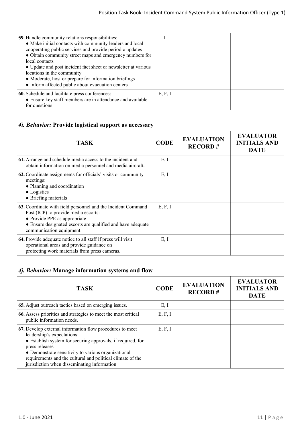| <b>59.</b> Handle community relations responsibilities:<br>• Make initial contacts with community leaders and local<br>cooperating public services and provide periodic updates<br>• Obtain community street maps and emergency numbers for<br>local contacts<br>• Update and post incident fact sheet or newsletter at various<br>locations in the community<br>• Moderate, host or prepare for information briefings<br>• Inform affected public about evacuation centers |         |  |
|-----------------------------------------------------------------------------------------------------------------------------------------------------------------------------------------------------------------------------------------------------------------------------------------------------------------------------------------------------------------------------------------------------------------------------------------------------------------------------|---------|--|
| 60. Schedule and facilitate press conferences:<br>• Ensure key staff members are in attendance and available<br>for questions                                                                                                                                                                                                                                                                                                                                               | E, F, I |  |

# *4i. Behavior:* **Provide logistical support as necessary**

| TASK                                                                                                                                                                                                                           | <b>CODE</b> | <b>EVALUATION</b><br><b>RECORD#</b> | <b>EVALUATOR</b><br><b>INITIALS AND</b><br><b>DATE</b> |
|--------------------------------------------------------------------------------------------------------------------------------------------------------------------------------------------------------------------------------|-------------|-------------------------------------|--------------------------------------------------------|
| 61. Arrange and schedule media access to the incident and<br>obtain information on media personnel and media aircraft.                                                                                                         | E, I        |                                     |                                                        |
| 62. Coordinate assignments for officials' visits or community<br>meetings:<br>• Planning and coordination<br>$\bullet$ Logistics<br>• Briefing materials                                                                       | E, I        |                                     |                                                        |
| 63. Coordinate with field personnel and the Incident Command<br>Post (ICP) to provide media escorts:<br>• Provide PPE as appropriate<br>• Ensure designated escorts are qualified and have adequate<br>communication equipment | E, F, I     |                                     |                                                        |
| 64. Provide adequate notice to all staff if press will visit<br>operational areas and provide guidance on<br>protecting work materials from press cameras.                                                                     | E, I        |                                     |                                                        |

# *4j. Behavior:* **Manage information systems and flow**

| <b>TASK</b>                                                                                                                                                                                                                                                                                                                                 | <b>CODE</b> | <b>EVALUATION</b><br><b>RECORD#</b> | <b>EVALUATOR</b><br><b>INITIALS AND</b><br><b>DATE</b> |
|---------------------------------------------------------------------------------------------------------------------------------------------------------------------------------------------------------------------------------------------------------------------------------------------------------------------------------------------|-------------|-------------------------------------|--------------------------------------------------------|
| 65. Adjust outreach tactics based on emerging issues.                                                                                                                                                                                                                                                                                       | E, I        |                                     |                                                        |
| 66. Assess priorities and strategies to meet the most critical<br>public information needs.                                                                                                                                                                                                                                                 | E, F, I     |                                     |                                                        |
| 67. Develop external information flow procedures to meet<br>leadership's expectations:<br>• Establish system for securing approvals, if required, for<br>press releases<br>• Demonstrate sensitivity to various organizational<br>requirements and the cultural and political climate of the<br>jurisdiction when disseminating information | E, F, I     |                                     |                                                        |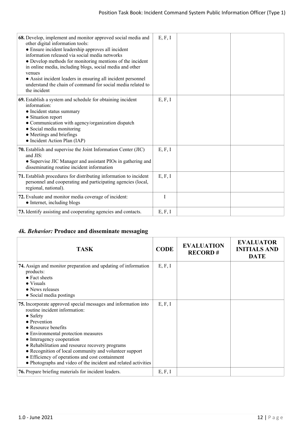| 68. Develop, implement and monitor approved social media and<br>other digital information tools:<br>• Ensure incident leadership approves all incident<br>information released via social media networks<br>• Develop methods for monitoring mentions of the incident<br>in online media, including blogs, social media and other<br>venues<br>• Assist incident leaders in ensuring all incident personnel<br>understand the chain of command for social media related to<br>the incident | E, F, I |  |
|--------------------------------------------------------------------------------------------------------------------------------------------------------------------------------------------------------------------------------------------------------------------------------------------------------------------------------------------------------------------------------------------------------------------------------------------------------------------------------------------|---------|--|
| 69. Establish a system and schedule for obtaining incident<br>information:<br>• Incident status summary<br>• Situation report<br>• Communication with agency/organization dispatch<br>• Social media monitoring<br>• Meetings and briefings<br>• Incident Action Plan (IAP)                                                                                                                                                                                                                | E, F, I |  |
| 70. Establish and supervise the Joint Information Center (JIC)<br>and JIS:<br>• Supervise JIC Manager and assistant PIOs in gathering and<br>disseminating routine incident information                                                                                                                                                                                                                                                                                                    | E, F, I |  |
| 71. Establish procedures for distributing information to incident<br>personnel and cooperating and participating agencies (local,<br>regional, national).                                                                                                                                                                                                                                                                                                                                  | E, F, I |  |
| 72. Evaluate and monitor media coverage of incident:<br>• Internet, including blogs                                                                                                                                                                                                                                                                                                                                                                                                        | I       |  |
| 73. Identify assisting and cooperating agencies and contacts.                                                                                                                                                                                                                                                                                                                                                                                                                              | E, F, I |  |

# *4k. Behavior:* **Produce and disseminate messaging**

| <b>TASK</b>                                                                                                                                                                                                                                                                                                                                                                                                                                                              | <b>CODE</b> | <b>EVALUATION</b><br><b>RECORD#</b> | <b>EVALUATOR</b><br><b>INITIALS AND</b><br><b>DATE</b> |
|--------------------------------------------------------------------------------------------------------------------------------------------------------------------------------------------------------------------------------------------------------------------------------------------------------------------------------------------------------------------------------------------------------------------------------------------------------------------------|-------------|-------------------------------------|--------------------------------------------------------|
| 74. Assign and monitor preparation and updating of information<br>products:<br>$\bullet$ Fact sheets<br>$\bullet$ Visuals<br>• News releases<br>• Social media postings                                                                                                                                                                                                                                                                                                  | E, F, I     |                                     |                                                        |
| 75. Incorporate approved special messages and information into<br>routine incident information:<br>$\bullet$ Safety<br>• Prevention<br>$\bullet$ Resource benefits<br>• Environmental protection measures<br>• Interagency cooperation<br>• Rehabilitation and resource recovery programs<br>• Recognition of local community and volunteer support<br>• Efficiency of operations and cost containment<br>• Photographs and video of the incident and related activities | E, F, I     |                                     |                                                        |
| <b>76.</b> Prepare briefing materials for incident leaders.                                                                                                                                                                                                                                                                                                                                                                                                              | E, F, I     |                                     |                                                        |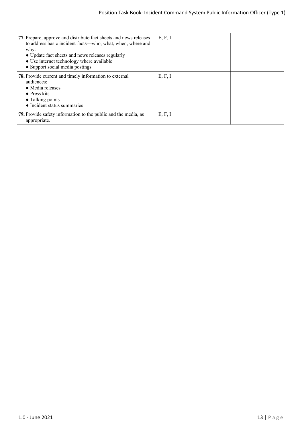| 77. Prepare, approve and distribute fact sheets and news releases<br>to address basic incident facts—who, what, when, where and<br>why:<br>• Update fact sheets and news releases regularly<br>• Use internet technology where available<br>• Support social media postings | E, F, I |  |
|-----------------------------------------------------------------------------------------------------------------------------------------------------------------------------------------------------------------------------------------------------------------------------|---------|--|
| 78. Provide current and timely information to external<br>audiences:<br>• Media releases<br>$\bullet$ Press kits<br>• Talking points<br>• Incident status summaries                                                                                                         | E, F, I |  |
| <b>79.</b> Provide safety information to the public and the media, as<br>appropriate.                                                                                                                                                                                       | E, F, I |  |